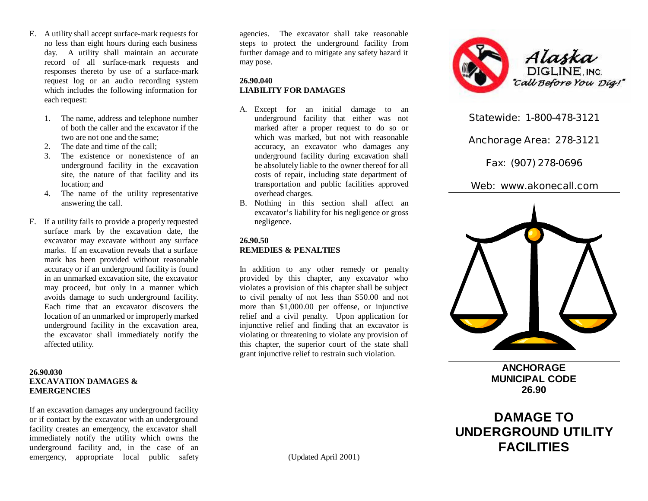- E. A utility shall accept surface-mark requests for no less than eight hours during each business day. A utility shall maintain an accurate record of all surface-mark requests and responses thereto by use of a surface-mark request log or an audio recording system which includes the following information for each request:
	- 1. The name, address and telephone number of both the caller and the excavator if the two are not one and the same;
	- 2. The date and time of the call;
	- 3. The existence or nonexistence of an underground facility in the excavation site, the nature of that facility and its location; and
	- 4. The name of the utility representative answering the call.
- F. If a utility fails to provide a properly requested surface mark by the excavation date, the excavator may excavate without any surface marks. If an excavation reveals that a surface mark has been provided without reasonable accuracy or if an underground facility is found in an unmarked excavation site, the excavator may proceed, but only in a manner which avoids damage to such underground facility. Each time that an excavator discovers the location of an unmarked or improperly marked underground facility in the excavation area, the excavator shall immediately notify the affected utility.

## **26.90.030 EXCAVATION DAMAGES & EMERGENCIES**

If an excavation damages any underground facility or if contact by the excavator with an underground facility creates an emergency, the excavator shall immediately notify the utility which owns the underground facility and, in the case of an emergency, appropriate local public safety

agencies. The excavator shall take reasonable steps to protect the underground facility from further damage and to mitigate any safety hazard it may pose.

### **26.90.040 LIABILITY FOR DAMAGES**

- A. Except for an initial damage to an underground facility that either was not marked after a proper request to do so or which was marked, but not with reasonable accuracy, an excavator who damages any underground facility during excavation shall be absolutely liable to the owner thereof for all costs of repair, including state department of transportation and public facilities approved overhead charges.
- B. Nothing in this section shall affect an excavator's liability for his negligence or gross negligence.

# **26.90.50 REMEDIES & PENALTIES**

In addition to any other remedy or penalty provided by this chapter, any excavator who violates a provision of this chapter shall be subject to civil penalty of not less than \$50.00 and not more than \$1,000.00 per offense, or injunctive relief and a civil penalty. Upon application for injunctive relief and finding that an excavator is violating or threatening to violate any provision of this chapter, the superior court of the state shall grant injunctive relief to restrain such violation.



**Statewide: 1-800-478-3121**

**Anchorage Area: 278-3121**

**Fax: (907) 278-0696**

**Web: www.akonecall.com**



**ANCHORAGE MUNICIPAL CODE 26.90**

**DAMAGE TO UNDERGROUND UTILITY FACILITIES**

(Updated April 2001)